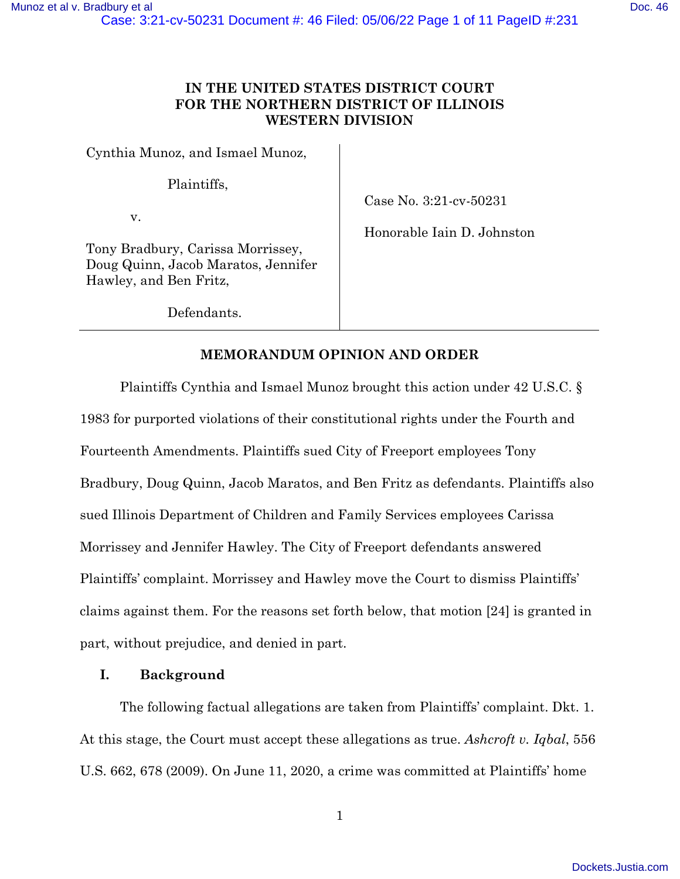# **IN THE UNITED STATES DISTRICT COURT FOR THE NORTHERN DISTRICT OF ILLINOIS WESTERN DIVISION**

Cynthia Munoz, and Ismael Munoz,

Plaintiffs,

v.

Case No. 3:21-cv-50231

Honorable Iain D. Johnston

Tony Bradbury, Carissa Morrissey, Doug Quinn, Jacob Maratos, Jennifer Hawley, and Ben Fritz,

Defendants.

# **MEMORANDUM OPINION AND ORDER**

Plaintiffs Cynthia and Ismael Munoz brought this action under 42 U.S.C. § 1983 for purported violations of their constitutional rights under the Fourth and Fourteenth Amendments. Plaintiffs sued City of Freeport employees Tony Bradbury, Doug Quinn, Jacob Maratos, and Ben Fritz as defendants. Plaintiffs also sued Illinois Department of Children and Family Services employees Carissa Morrissey and Jennifer Hawley. The City of Freeport defendants answered Plaintiffs' complaint. Morrissey and Hawley move the Court to dismiss Plaintiffs' claims against them. For the reasons set forth below, that motion [24] is granted in part, without prejudice, and denied in part.

## **I. Background**

The following factual allegations are taken from Plaintiffs' complaint. Dkt. 1. At this stage, the Court must accept these allegations as true. *Ashcroft v. Iqbal*, 556 U.S. 662, 678 (2009). On June 11, 2020, a crime was committed at Plaintiffs' home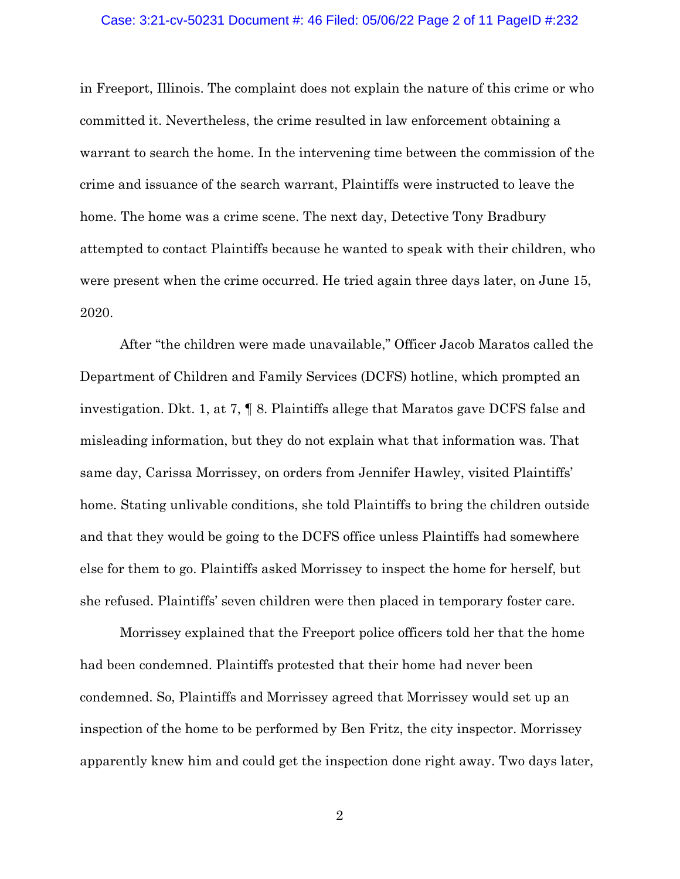#### Case: 3:21-cv-50231 Document #: 46 Filed: 05/06/22 Page 2 of 11 PageID #:232

in Freeport, Illinois. The complaint does not explain the nature of this crime or who committed it. Nevertheless, the crime resulted in law enforcement obtaining a warrant to search the home. In the intervening time between the commission of the crime and issuance of the search warrant, Plaintiffs were instructed to leave the home. The home was a crime scene. The next day, Detective Tony Bradbury attempted to contact Plaintiffs because he wanted to speak with their children, who were present when the crime occurred. He tried again three days later, on June 15, 2020.

After "the children were made unavailable," Officer Jacob Maratos called the Department of Children and Family Services (DCFS) hotline, which prompted an investigation. Dkt. 1, at 7, ¶ 8. Plaintiffs allege that Maratos gave DCFS false and misleading information, but they do not explain what that information was. That same day, Carissa Morrissey, on orders from Jennifer Hawley, visited Plaintiffs' home. Stating unlivable conditions, she told Plaintiffs to bring the children outside and that they would be going to the DCFS office unless Plaintiffs had somewhere else for them to go. Plaintiffs asked Morrissey to inspect the home for herself, but she refused. Plaintiffs' seven children were then placed in temporary foster care.

Morrissey explained that the Freeport police officers told her that the home had been condemned. Plaintiffs protested that their home had never been condemned. So, Plaintiffs and Morrissey agreed that Morrissey would set up an inspection of the home to be performed by Ben Fritz, the city inspector. Morrissey apparently knew him and could get the inspection done right away. Two days later,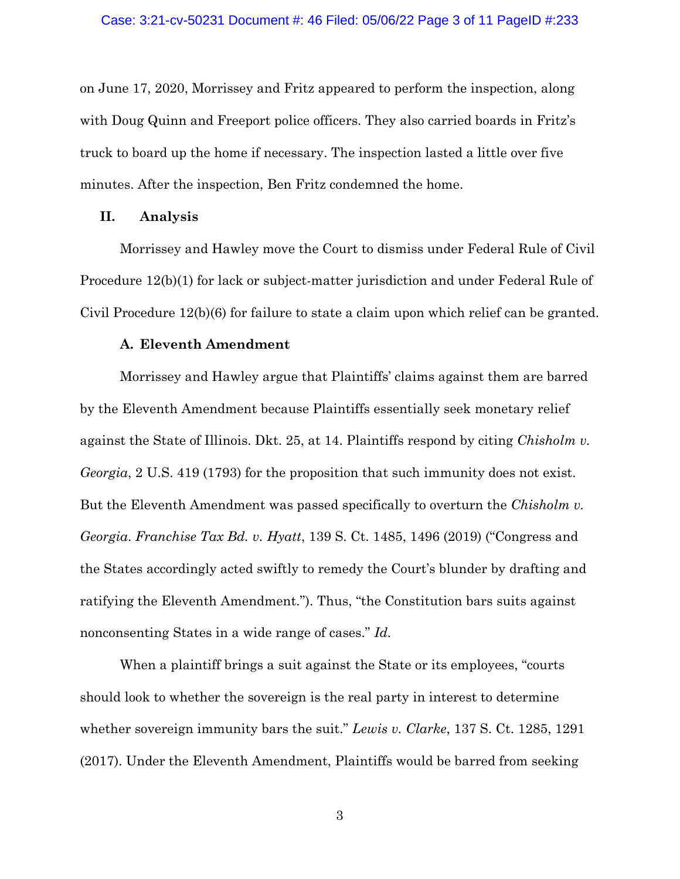on June 17, 2020, Morrissey and Fritz appeared to perform the inspection, along with Doug Quinn and Freeport police officers. They also carried boards in Fritz's truck to board up the home if necessary. The inspection lasted a little over five minutes. After the inspection, Ben Fritz condemned the home.

## **II. Analysis**

Morrissey and Hawley move the Court to dismiss under Federal Rule of Civil Procedure 12(b)(1) for lack or subject-matter jurisdiction and under Federal Rule of Civil Procedure 12(b)(6) for failure to state a claim upon which relief can be granted.

## **A. Eleventh Amendment**

Morrissey and Hawley argue that Plaintiffs' claims against them are barred by the Eleventh Amendment because Plaintiffs essentially seek monetary relief against the State of Illinois. Dkt. 25, at 14. Plaintiffs respond by citing *Chisholm v. Georgia*, 2 U.S. 419 (1793) for the proposition that such immunity does not exist. But the Eleventh Amendment was passed specifically to overturn the *Chisholm v. Georgia*. *Franchise Tax Bd. v. Hyatt*, 139 S. Ct. 1485, 1496 (2019) ("Congress and the States accordingly acted swiftly to remedy the Court's blunder by drafting and ratifying the Eleventh Amendment."). Thus, "the Constitution bars suits against nonconsenting States in a wide range of cases." *Id.*

When a plaintiff brings a suit against the State or its employees, "courts should look to whether the sovereign is the real party in interest to determine whether sovereign immunity bars the suit." *Lewis v. Clarke*, 137 S. Ct. 1285, 1291 (2017). Under the Eleventh Amendment, Plaintiffs would be barred from seeking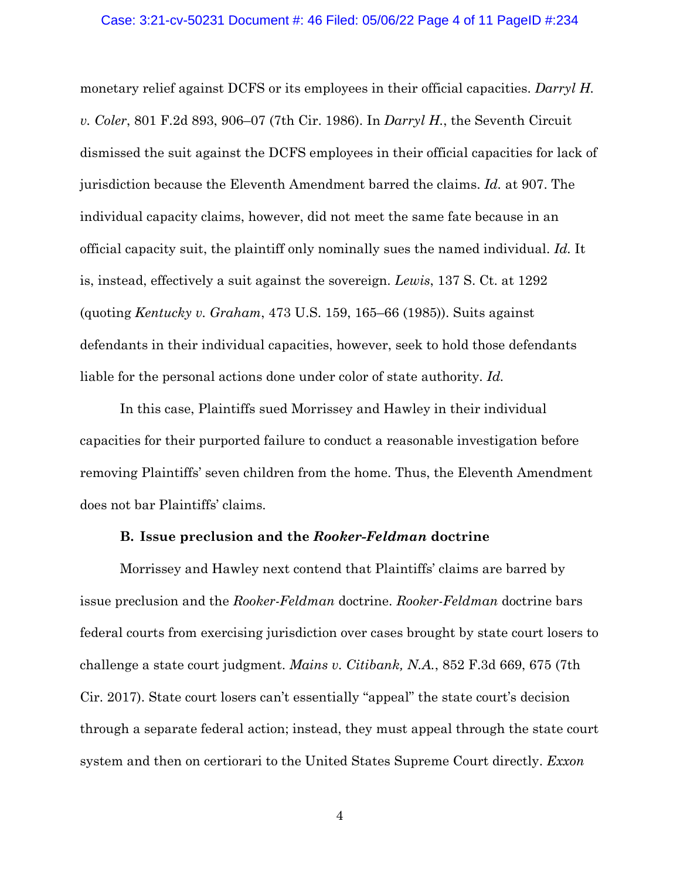#### Case: 3:21-cv-50231 Document #: 46 Filed: 05/06/22 Page 4 of 11 PageID #:234

monetary relief against DCFS or its employees in their official capacities. *Darryl H. v. Coler*, 801 F.2d 893, 906–07 (7th Cir. 1986). In *Darryl H.*, the Seventh Circuit dismissed the suit against the DCFS employees in their official capacities for lack of jurisdiction because the Eleventh Amendment barred the claims. *Id.* at 907. The individual capacity claims, however, did not meet the same fate because in an official capacity suit, the plaintiff only nominally sues the named individual. *Id.* It is, instead, effectively a suit against the sovereign. *Lewis*, 137 S. Ct. at 1292 (quoting *Kentucky v. Graham*, 473 U.S. 159, 165–66 (1985)). Suits against defendants in their individual capacities, however, seek to hold those defendants liable for the personal actions done under color of state authority. *Id.*

In this case, Plaintiffs sued Morrissey and Hawley in their individual capacities for their purported failure to conduct a reasonable investigation before removing Plaintiffs' seven children from the home. Thus, the Eleventh Amendment does not bar Plaintiffs' claims.

## **B. Issue preclusion and the** *Rooker-Feldman* **doctrine**

Morrissey and Hawley next contend that Plaintiffs' claims are barred by issue preclusion and the *Rooker-Feldman* doctrine. *Rooker-Feldman* doctrine bars federal courts from exercising jurisdiction over cases brought by state court losers to challenge a state court judgment. *Mains v. Citibank, N.A.*, 852 F.3d 669, 675 (7th Cir. 2017). State court losers can't essentially "appeal" the state court's decision through a separate federal action; instead, they must appeal through the state court system and then on certiorari to the United States Supreme Court directly. *Exxon*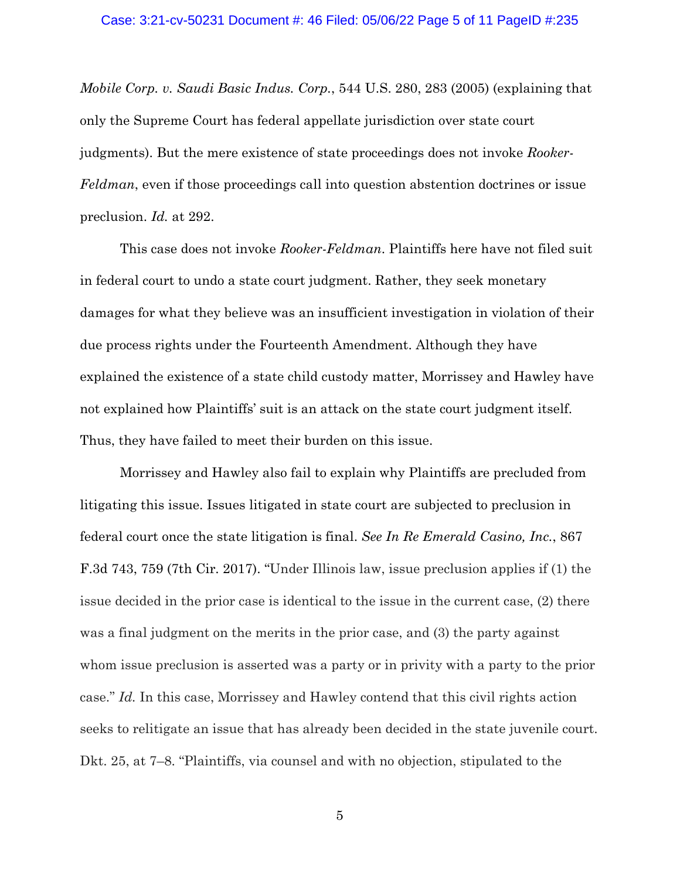#### Case: 3:21-cv-50231 Document #: 46 Filed: 05/06/22 Page 5 of 11 PageID #:235

*Mobile Corp. v. Saudi Basic Indus. Corp.*, 544 U.S. 280, 283 (2005) (explaining that only the Supreme Court has federal appellate jurisdiction over state court judgments). But the mere existence of state proceedings does not invoke *Rooker-Feldman*, even if those proceedings call into question abstention doctrines or issue preclusion. *Id.* at 292.

This case does not invoke *Rooker-Feldman*. Plaintiffs here have not filed suit in federal court to undo a state court judgment. Rather, they seek monetary damages for what they believe was an insufficient investigation in violation of their due process rights under the Fourteenth Amendment. Although they have explained the existence of a state child custody matter, Morrissey and Hawley have not explained how Plaintiffs' suit is an attack on the state court judgment itself. Thus, they have failed to meet their burden on this issue.

Morrissey and Hawley also fail to explain why Plaintiffs are precluded from litigating this issue. Issues litigated in state court are subjected to preclusion in federal court once the state litigation is final. *See In Re Emerald Casino, Inc.*, 867 F.3d 743, 759 (7th Cir. 2017). "Under Illinois law, issue preclusion applies if (1) the issue decided in the prior case is identical to the issue in the current case, (2) there was a final judgment on the merits in the prior case, and (3) the party against whom issue preclusion is asserted was a party or in privity with a party to the prior case." *Id.* In this case, Morrissey and Hawley contend that this civil rights action seeks to relitigate an issue that has already been decided in the state juvenile court. Dkt. 25, at 7–8. "Plaintiffs, via counsel and with no objection, stipulated to the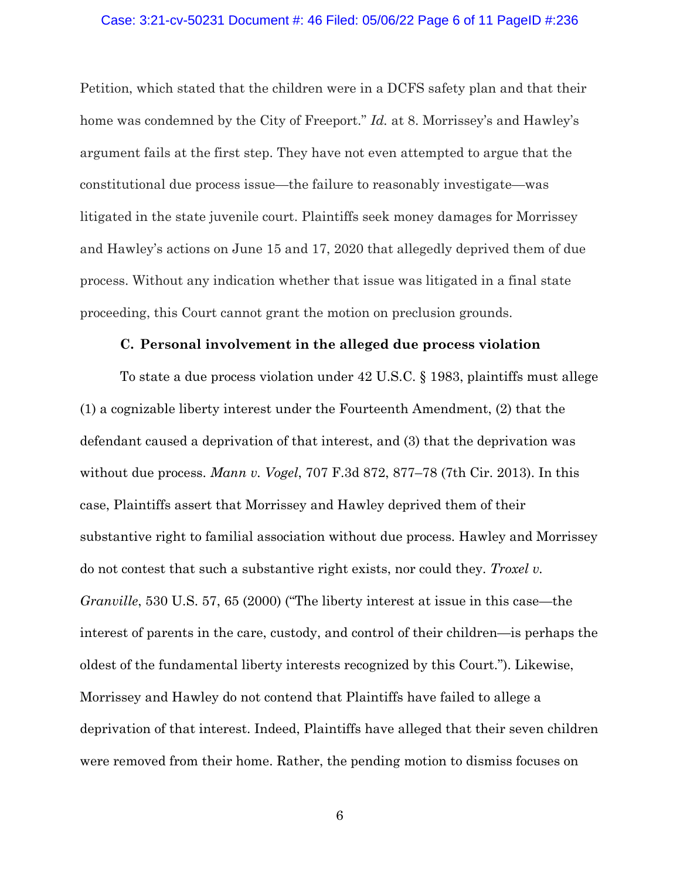## Case: 3:21-cv-50231 Document #: 46 Filed: 05/06/22 Page 6 of 11 PageID #:236

Petition, which stated that the children were in a DCFS safety plan and that their home was condemned by the City of Freeport." *Id.* at 8. Morrissey's and Hawley's argument fails at the first step. They have not even attempted to argue that the constitutional due process issue—the failure to reasonably investigate—was litigated in the state juvenile court. Plaintiffs seek money damages for Morrissey and Hawley's actions on June 15 and 17, 2020 that allegedly deprived them of due process. Without any indication whether that issue was litigated in a final state proceeding, this Court cannot grant the motion on preclusion grounds.

### **C. Personal involvement in the alleged due process violation**

To state a due process violation under 42 U.S.C. § 1983, plaintiffs must allege (1) a cognizable liberty interest under the Fourteenth Amendment, (2) that the defendant caused a deprivation of that interest, and (3) that the deprivation was without due process. *Mann v. Vogel*, 707 F.3d 872, 877–78 (7th Cir. 2013). In this case, Plaintiffs assert that Morrissey and Hawley deprived them of their substantive right to familial association without due process. Hawley and Morrissey do not contest that such a substantive right exists, nor could they. *Troxel v. Granville*, 530 U.S. 57, 65 (2000) ("The liberty interest at issue in this case—the interest of parents in the care, custody, and control of their children—is perhaps the oldest of the fundamental liberty interests recognized by this Court."). Likewise, Morrissey and Hawley do not contend that Plaintiffs have failed to allege a deprivation of that interest. Indeed, Plaintiffs have alleged that their seven children were removed from their home. Rather, the pending motion to dismiss focuses on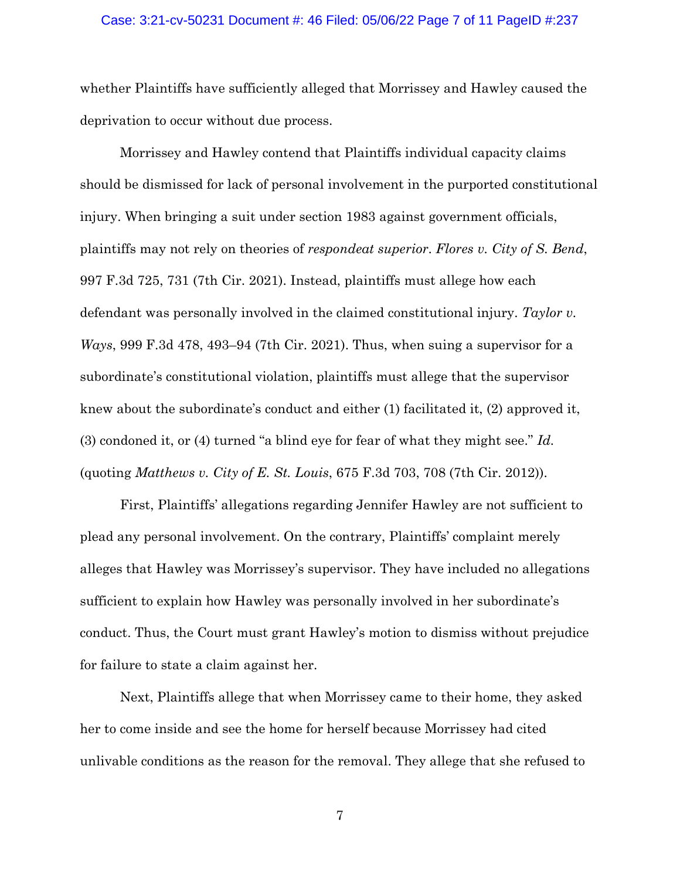#### Case: 3:21-cv-50231 Document #: 46 Filed: 05/06/22 Page 7 of 11 PageID #:237

whether Plaintiffs have sufficiently alleged that Morrissey and Hawley caused the deprivation to occur without due process.

Morrissey and Hawley contend that Plaintiffs individual capacity claims should be dismissed for lack of personal involvement in the purported constitutional injury. When bringing a suit under section 1983 against government officials, plaintiffs may not rely on theories of *respondeat superior*. *Flores v. City of S. Bend*, 997 F.3d 725, 731 (7th Cir. 2021). Instead, plaintiffs must allege how each defendant was personally involved in the claimed constitutional injury. *Taylor v. Ways*, 999 F.3d 478, 493–94 (7th Cir. 2021). Thus, when suing a supervisor for a subordinate's constitutional violation, plaintiffs must allege that the supervisor knew about the subordinate's conduct and either (1) facilitated it, (2) approved it, (3) condoned it, or (4) turned "a blind eye for fear of what they might see." *Id.* (quoting *Matthews v. City of E. St. Louis*, 675 F.3d 703, 708 (7th Cir. 2012)).

First, Plaintiffs' allegations regarding Jennifer Hawley are not sufficient to plead any personal involvement. On the contrary, Plaintiffs' complaint merely alleges that Hawley was Morrissey's supervisor. They have included no allegations sufficient to explain how Hawley was personally involved in her subordinate's conduct. Thus, the Court must grant Hawley's motion to dismiss without prejudice for failure to state a claim against her.

Next, Plaintiffs allege that when Morrissey came to their home, they asked her to come inside and see the home for herself because Morrissey had cited unlivable conditions as the reason for the removal. They allege that she refused to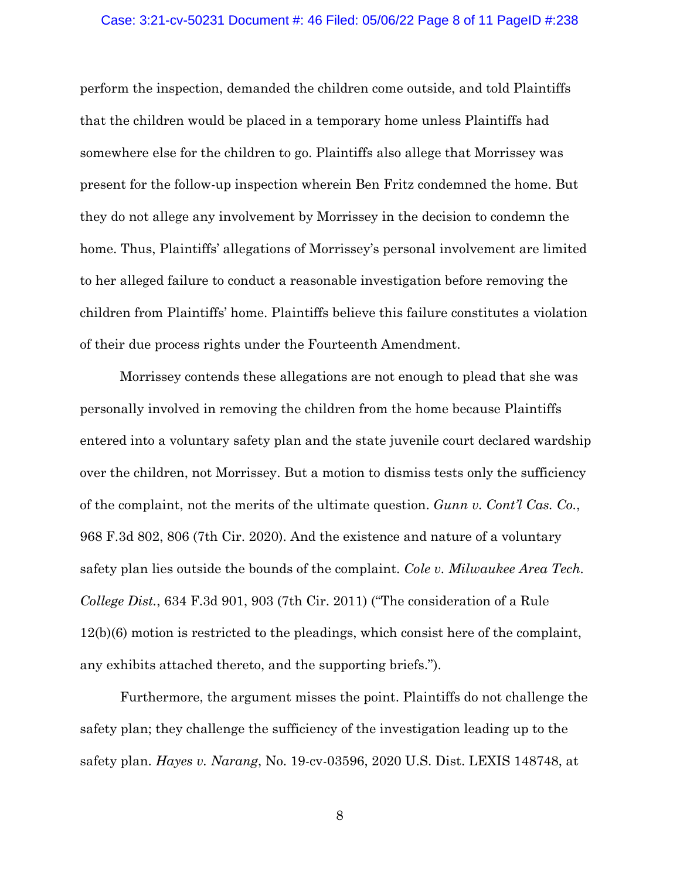#### Case: 3:21-cv-50231 Document #: 46 Filed: 05/06/22 Page 8 of 11 PageID #:238

perform the inspection, demanded the children come outside, and told Plaintiffs that the children would be placed in a temporary home unless Plaintiffs had somewhere else for the children to go. Plaintiffs also allege that Morrissey was present for the follow-up inspection wherein Ben Fritz condemned the home. But they do not allege any involvement by Morrissey in the decision to condemn the home. Thus, Plaintiffs' allegations of Morrissey's personal involvement are limited to her alleged failure to conduct a reasonable investigation before removing the children from Plaintiffs' home. Plaintiffs believe this failure constitutes a violation of their due process rights under the Fourteenth Amendment.

Morrissey contends these allegations are not enough to plead that she was personally involved in removing the children from the home because Plaintiffs entered into a voluntary safety plan and the state juvenile court declared wardship over the children, not Morrissey. But a motion to dismiss tests only the sufficiency of the complaint, not the merits of the ultimate question. *Gunn v. Cont'l Cas. Co.*, 968 F.3d 802, 806 (7th Cir. 2020). And the existence and nature of a voluntary safety plan lies outside the bounds of the complaint. *Cole v. Milwaukee Area Tech. College Dist.*, 634 F.3d 901, 903 (7th Cir. 2011) ("The consideration of a Rule 12(b)(6) motion is restricted to the pleadings, which consist here of the complaint, any exhibits attached thereto, and the supporting briefs.").

Furthermore, the argument misses the point. Plaintiffs do not challenge the safety plan; they challenge the sufficiency of the investigation leading up to the safety plan. *Hayes v. Narang*, No. 19-cv-03596, 2020 U.S. Dist. LEXIS 148748, at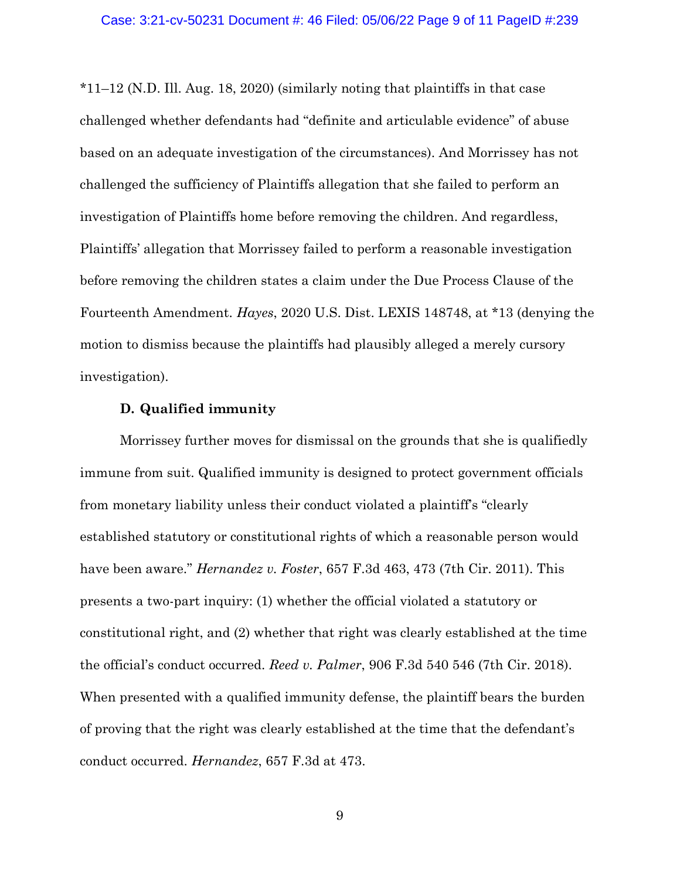\*11–12 (N.D. Ill. Aug. 18, 2020) (similarly noting that plaintiffs in that case challenged whether defendants had "definite and articulable evidence" of abuse based on an adequate investigation of the circumstances). And Morrissey has not challenged the sufficiency of Plaintiffs allegation that she failed to perform an investigation of Plaintiffs home before removing the children. And regardless, Plaintiffs' allegation that Morrissey failed to perform a reasonable investigation before removing the children states a claim under the Due Process Clause of the Fourteenth Amendment. *Hayes*, 2020 U.S. Dist. LEXIS 148748, at \*13 (denying the motion to dismiss because the plaintiffs had plausibly alleged a merely cursory investigation).

## **D. Qualified immunity**

Morrissey further moves for dismissal on the grounds that she is qualifiedly immune from suit. Qualified immunity is designed to protect government officials from monetary liability unless their conduct violated a plaintiff's "clearly established statutory or constitutional rights of which a reasonable person would have been aware." *Hernandez v. Foster*, 657 F.3d 463, 473 (7th Cir. 2011). This presents a two-part inquiry: (1) whether the official violated a statutory or constitutional right, and (2) whether that right was clearly established at the time the official's conduct occurred. *Reed v. Palmer*, 906 F.3d 540 546 (7th Cir. 2018). When presented with a qualified immunity defense, the plaintiff bears the burden of proving that the right was clearly established at the time that the defendant's conduct occurred. *Hernandez*, 657 F.3d at 473.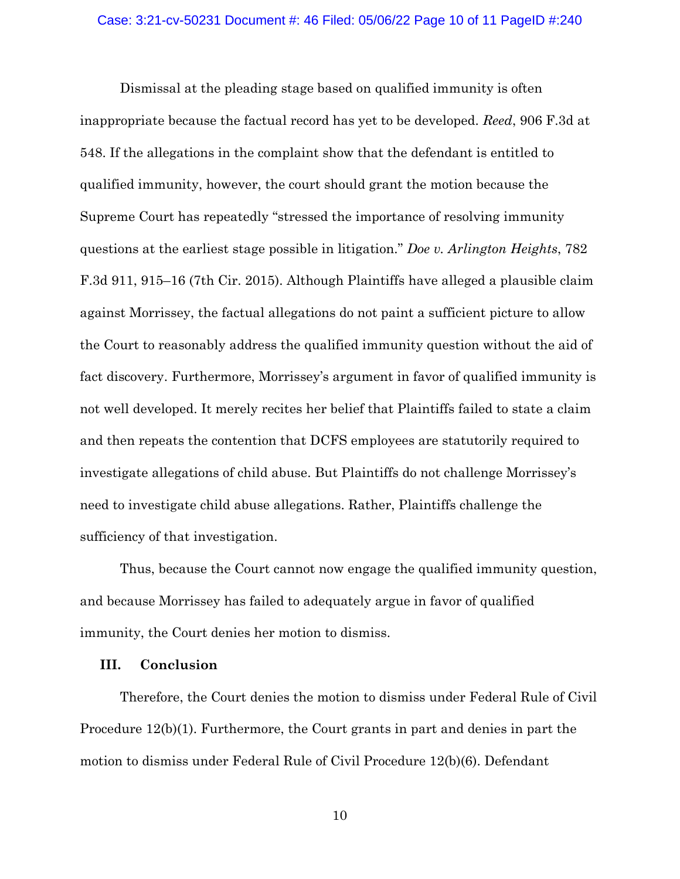Dismissal at the pleading stage based on qualified immunity is often inappropriate because the factual record has yet to be developed. *Reed*, 906 F.3d at 548. If the allegations in the complaint show that the defendant is entitled to qualified immunity, however, the court should grant the motion because the Supreme Court has repeatedly "stressed the importance of resolving immunity questions at the earliest stage possible in litigation." *Doe v. Arlington Heights*, 782 F.3d 911, 915–16 (7th Cir. 2015). Although Plaintiffs have alleged a plausible claim against Morrissey, the factual allegations do not paint a sufficient picture to allow the Court to reasonably address the qualified immunity question without the aid of fact discovery. Furthermore, Morrissey's argument in favor of qualified immunity is not well developed. It merely recites her belief that Plaintiffs failed to state a claim and then repeats the contention that DCFS employees are statutorily required to investigate allegations of child abuse. But Plaintiffs do not challenge Morrissey's need to investigate child abuse allegations. Rather, Plaintiffs challenge the sufficiency of that investigation.

Thus, because the Court cannot now engage the qualified immunity question, and because Morrissey has failed to adequately argue in favor of qualified immunity, the Court denies her motion to dismiss.

## **III. Conclusion**

Therefore, the Court denies the motion to dismiss under Federal Rule of Civil Procedure 12(b)(1). Furthermore, the Court grants in part and denies in part the motion to dismiss under Federal Rule of Civil Procedure 12(b)(6). Defendant